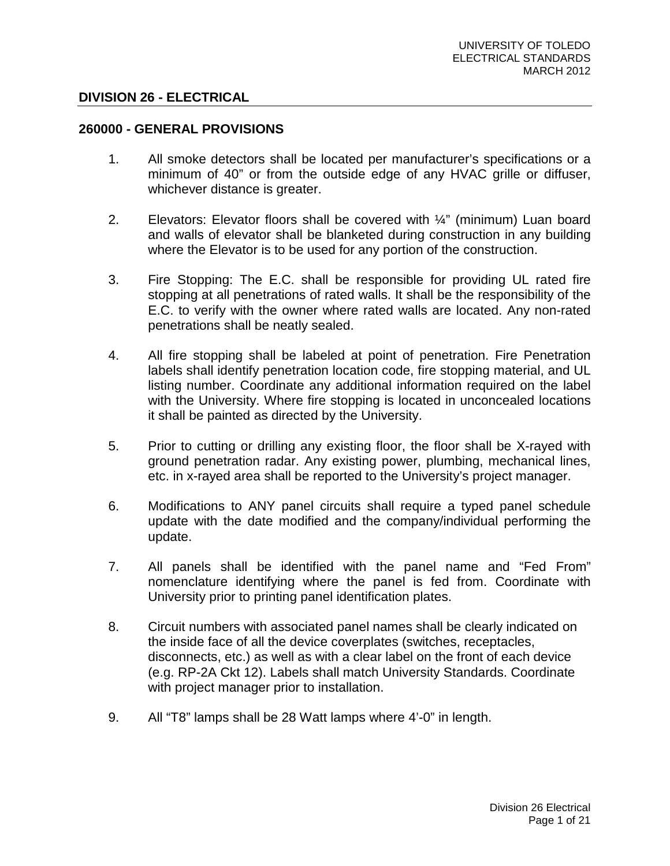#### **DIVISION 26 - ELECTRICAL**

#### **260000 - GENERAL PROVISIONS**

- 1. All smoke detectors shall be located per manufacturer's specifications or a minimum of 40" or from the outside edge of any HVAC grille or diffuser, whichever distance is greater.
- 2. Elevators: Elevator floors shall be covered with ¼" (minimum) Luan board and walls of elevator shall be blanketed during construction in any building where the Elevator is to be used for any portion of the construction.
- 3. Fire Stopping: The E.C. shall be responsible for providing UL rated fire stopping at all penetrations of rated walls. It shall be the responsibility of the E.C. to verify with the owner where rated walls are located. Any non-rated penetrations shall be neatly sealed.
- 4. All fire stopping shall be labeled at point of penetration. Fire Penetration labels shall identify penetration location code, fire stopping material, and UL listing number. Coordinate any additional information required on the label with the University. Where fire stopping is located in unconcealed locations it shall be painted as directed by the University.
- 5. Prior to cutting or drilling any existing floor, the floor shall be X-rayed with ground penetration radar. Any existing power, plumbing, mechanical lines, etc. in x-rayed area shall be reported to the University's project manager.
- 6. Modifications to ANY panel circuits shall require a typed panel schedule update with the date modified and the company/individual performing the update.
- 7. All panels shall be identified with the panel name and "Fed From" nomenclature identifying where the panel is fed from. Coordinate with University prior to printing panel identification plates.
- 8. Circuit numbers with associated panel names shall be clearly indicated on the inside face of all the device coverplates (switches, receptacles, disconnects, etc.) as well as with a clear label on the front of each device (e.g. RP-2A Ckt 12). Labels shall match University Standards. Coordinate with project manager prior to installation.
- 9. All "T8" lamps shall be 28 Watt lamps where 4'-0" in length.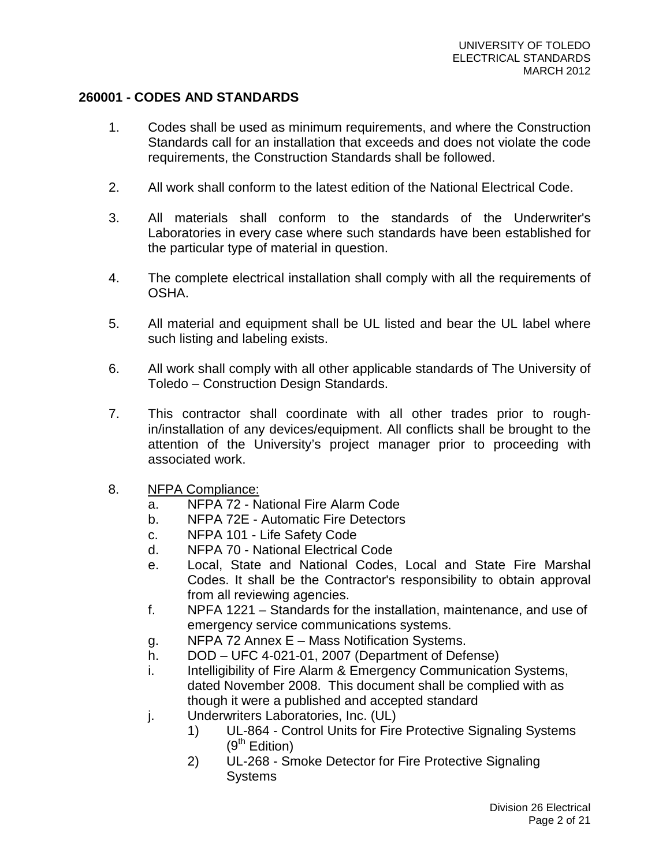# **260001 - CODES AND STANDARDS**

- 1. Codes shall be used as minimum requirements, and where the Construction Standards call for an installation that exceeds and does not violate the code requirements, the Construction Standards shall be followed.
- 2. All work shall conform to the latest edition of the National Electrical Code.
- 3. All materials shall conform to the standards of the Underwriter's Laboratories in every case where such standards have been established for the particular type of material in question.
- 4. The complete electrical installation shall comply with all the requirements of OSHA.
- 5. All material and equipment shall be UL listed and bear the UL label where such listing and labeling exists.
- 6. All work shall comply with all other applicable standards of The University of Toledo – Construction Design Standards.
- 7. This contractor shall coordinate with all other trades prior to roughin/installation of any devices/equipment. All conflicts shall be brought to the attention of the University's project manager prior to proceeding with associated work.
- 8. NFPA Compliance:
	- a. NFPA 72 National Fire Alarm Code
	- b. NFPA 72E Automatic Fire Detectors
	- c. NFPA 101 Life Safety Code
	- d. NFPA 70 National Electrical Code
	- e. Local, State and National Codes, Local and State Fire Marshal Codes. It shall be the Contractor's responsibility to obtain approval from all reviewing agencies.
	- f. NPFA 1221 Standards for the installation, maintenance, and use of emergency service communications systems.
	- g. NFPA 72 Annex E Mass Notification Systems.
	- h. DOD UFC 4-021-01, 2007 (Department of Defense)
	- i. Intelligibility of Fire Alarm & Emergency Communication Systems, dated November 2008. This document shall be complied with as though it were a published and accepted standard
	- j. Underwriters Laboratories, Inc. (UL)
		- 1) UL-864 Control Units for Fire Protective Signaling Systems  $(9<sup>th</sup> Edition)$
		- 2) UL-268 Smoke Detector for Fire Protective Signaling **Systems**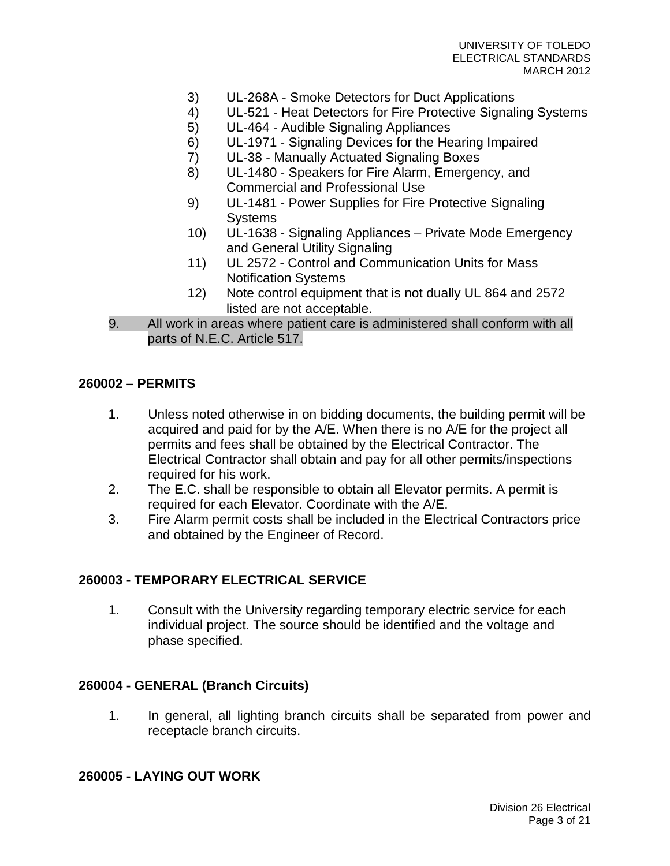- 3) UL-268A Smoke Detectors for Duct Applications
- 4) UL-521 Heat Detectors for Fire Protective Signaling Systems
- 5) UL-464 Audible Signaling Appliances
- 6) UL-1971 Signaling Devices for the Hearing Impaired
- 7) UL-38 Manually Actuated Signaling Boxes
- 8) UL-1480 Speakers for Fire Alarm, Emergency, and Commercial and Professional Use
- 9) UL-1481 Power Supplies for Fire Protective Signaling **Systems**
- 10) UL-1638 Signaling Appliances Private Mode Emergency and General Utility Signaling
- 11) UL 2572 Control and Communication Units for Mass Notification Systems
- 12) Note control equipment that is not dually UL 864 and 2572 listed are not acceptable.
- 9. All work in areas where patient care is administered shall conform with all parts of N.E.C. Article 517.

# **260002 – PERMITS**

- 1. Unless noted otherwise in on bidding documents, the building permit will be acquired and paid for by the A/E. When there is no A/E for the project all permits and fees shall be obtained by the Electrical Contractor. The Electrical Contractor shall obtain and pay for all other permits/inspections required for his work.
- 2. The E.C. shall be responsible to obtain all Elevator permits. A permit is required for each Elevator. Coordinate with the A/E.
- 3. Fire Alarm permit costs shall be included in the Electrical Contractors price and obtained by the Engineer of Record.

# **260003 - TEMPORARY ELECTRICAL SERVICE**

1. Consult with the University regarding temporary electric service for each individual project. The source should be identified and the voltage and phase specified.

### **260004 - GENERAL (Branch Circuits)**

1. In general, all lighting branch circuits shall be separated from power and receptacle branch circuits.

# **260005 - LAYING OUT WORK**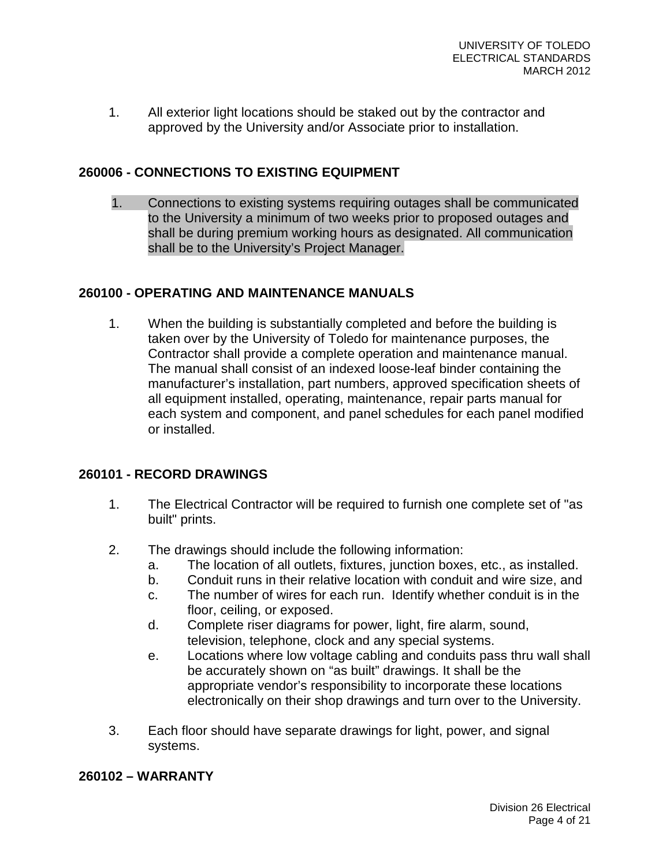1. All exterior light locations should be staked out by the contractor and approved by the University and/or Associate prior to installation.

# **260006 - CONNECTIONS TO EXISTING EQUIPMENT**

1. Connections to existing systems requiring outages shall be communicated to the University a minimum of two weeks prior to proposed outages and shall be during premium working hours as designated. All communication shall be to the University's Project Manager.

# **260100 - OPERATING AND MAINTENANCE MANUALS**

1. When the building is substantially completed and before the building is taken over by the University of Toledo for maintenance purposes, the Contractor shall provide a complete operation and maintenance manual. The manual shall consist of an indexed loose-leaf binder containing the manufacturer's installation, part numbers, approved specification sheets of all equipment installed, operating, maintenance, repair parts manual for each system and component, and panel schedules for each panel modified or installed.

### **260101 - RECORD DRAWINGS**

- 1. The Electrical Contractor will be required to furnish one complete set of "as built" prints.
- 2. The drawings should include the following information:
	- a. The location of all outlets, fixtures, junction boxes, etc., as installed.
	- b. Conduit runs in their relative location with conduit and wire size, and
	- c. The number of wires for each run. Identify whether conduit is in the floor, ceiling, or exposed.
	- d. Complete riser diagrams for power, light, fire alarm, sound, television, telephone, clock and any special systems.
	- e. Locations where low voltage cabling and conduits pass thru wall shall be accurately shown on "as built" drawings. It shall be the appropriate vendor's responsibility to incorporate these locations electronically on their shop drawings and turn over to the University.
- 3. Each floor should have separate drawings for light, power, and signal systems.

# **260102 – WARRANTY**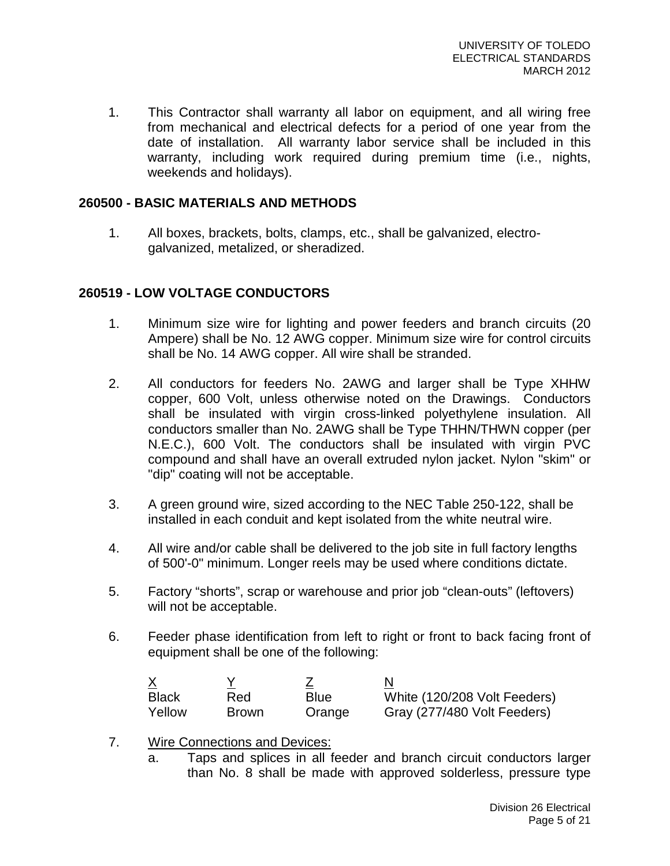1. This Contractor shall warranty all labor on equipment, and all wiring free from mechanical and electrical defects for a period of one year from the date of installation. All warranty labor service shall be included in this warranty, including work required during premium time (i.e., nights, weekends and holidays).

### **260500 - BASIC MATERIALS AND METHODS**

1. All boxes, brackets, bolts, clamps, etc., shall be galvanized, electrogalvanized, metalized, or sheradized.

# **260519 - LOW VOLTAGE CONDUCTORS**

- 1. Minimum size wire for lighting and power feeders and branch circuits (20 Ampere) shall be No. 12 AWG copper. Minimum size wire for control circuits shall be No. 14 AWG copper. All wire shall be stranded.
- 2. All conductors for feeders No. 2AWG and larger shall be Type XHHW copper, 600 Volt, unless otherwise noted on the Drawings. Conductors shall be insulated with virgin cross-linked polyethylene insulation. All conductors smaller than No. 2AWG shall be Type THHN/THWN copper (per N.E.C.), 600 Volt. The conductors shall be insulated with virgin PVC compound and shall have an overall extruded nylon jacket. Nylon "skim" or "dip" coating will not be acceptable.
- 3. A green ground wire, sized according to the NEC Table 250-122, shall be installed in each conduit and kept isolated from the white neutral wire.
- 4. All wire and/or cable shall be delivered to the job site in full factory lengths of 500'-0" minimum. Longer reels may be used where conditions dictate.
- 5. Factory "shorts", scrap or warehouse and prior job "clean-outs" (leftovers) will not be acceptable.
- 6. Feeder phase identification from left to right or front to back facing front of equipment shall be one of the following:

|              |              |             | N                            |
|--------------|--------------|-------------|------------------------------|
| <b>Black</b> | Red          | <b>Blue</b> | White (120/208 Volt Feeders) |
| Yellow       | <b>Brown</b> | Orange      | Gray (277/480 Volt Feeders)  |

- 7. Wire Connections and Devices:
	- a. Taps and splices in all feeder and branch circuit conductors larger than No. 8 shall be made with approved solderless, pressure type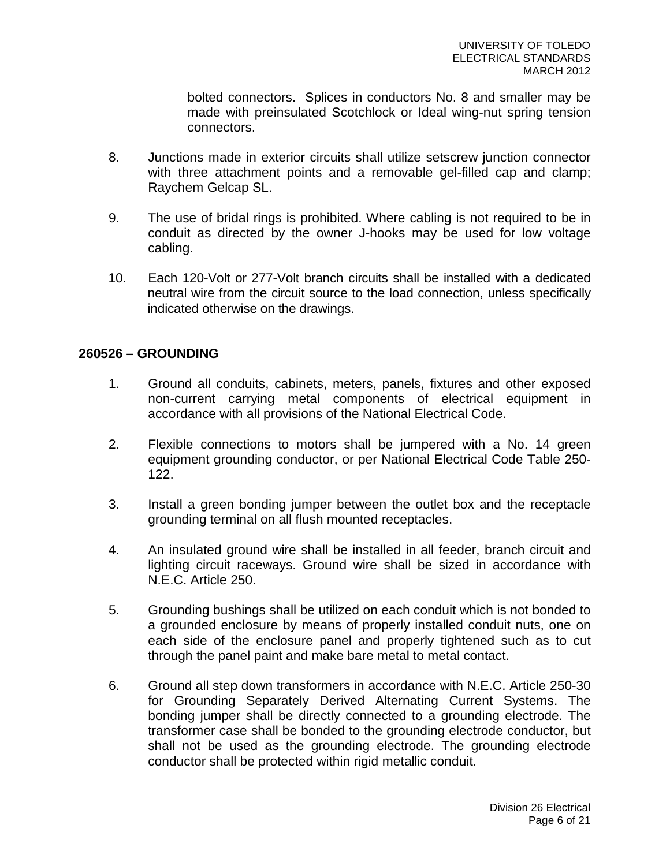bolted connectors. Splices in conductors No. 8 and smaller may be made with preinsulated Scotchlock or Ideal wing-nut spring tension connectors.

- 8. Junctions made in exterior circuits shall utilize setscrew junction connector with three attachment points and a removable gel-filled cap and clamp; Raychem Gelcap SL.
- 9. The use of bridal rings is prohibited. Where cabling is not required to be in conduit as directed by the owner J-hooks may be used for low voltage cabling.
- 10. Each 120-Volt or 277-Volt branch circuits shall be installed with a dedicated neutral wire from the circuit source to the load connection, unless specifically indicated otherwise on the drawings.

# **260526 – GROUNDING**

- 1. Ground all conduits, cabinets, meters, panels, fixtures and other exposed non-current carrying metal components of electrical equipment in accordance with all provisions of the National Electrical Code.
- 2. Flexible connections to motors shall be jumpered with a No. 14 green equipment grounding conductor, or per National Electrical Code Table 250- 122.
- 3. Install a green bonding jumper between the outlet box and the receptacle grounding terminal on all flush mounted receptacles.
- 4. An insulated ground wire shall be installed in all feeder, branch circuit and lighting circuit raceways. Ground wire shall be sized in accordance with N.E.C. Article 250.
- 5. Grounding bushings shall be utilized on each conduit which is not bonded to a grounded enclosure by means of properly installed conduit nuts, one on each side of the enclosure panel and properly tightened such as to cut through the panel paint and make bare metal to metal contact.
- 6. Ground all step down transformers in accordance with N.E.C. Article 250-30 for Grounding Separately Derived Alternating Current Systems. The bonding jumper shall be directly connected to a grounding electrode. The transformer case shall be bonded to the grounding electrode conductor, but shall not be used as the grounding electrode. The grounding electrode conductor shall be protected within rigid metallic conduit.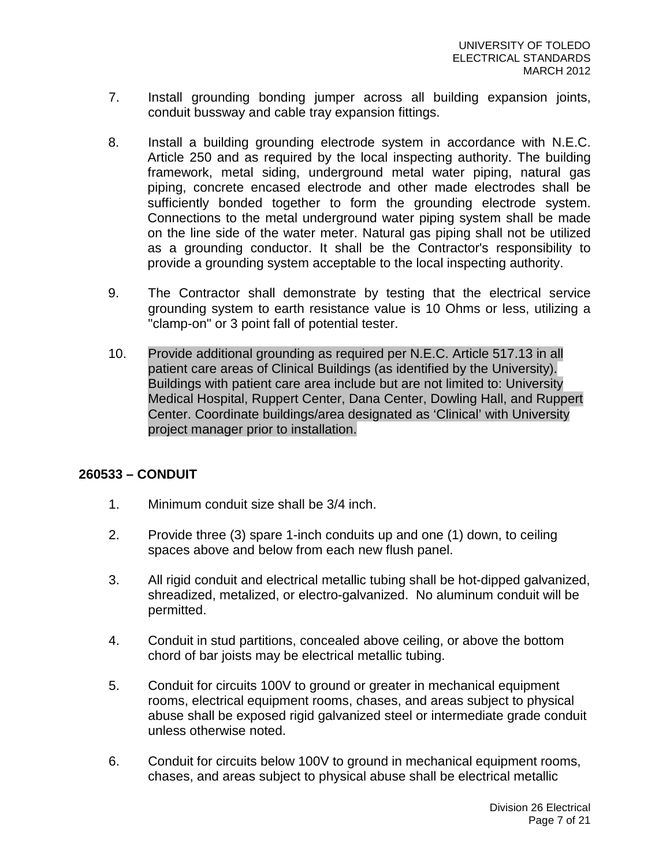- 7. Install grounding bonding jumper across all building expansion joints, conduit bussway and cable tray expansion fittings.
- 8. Install a building grounding electrode system in accordance with N.E.C. Article 250 and as required by the local inspecting authority. The building framework, metal siding, underground metal water piping, natural gas piping, concrete encased electrode and other made electrodes shall be sufficiently bonded together to form the grounding electrode system. Connections to the metal underground water piping system shall be made on the line side of the water meter. Natural gas piping shall not be utilized as a grounding conductor. It shall be the Contractor's responsibility to provide a grounding system acceptable to the local inspecting authority.
- 9. The Contractor shall demonstrate by testing that the electrical service grounding system to earth resistance value is 10 Ohms or less, utilizing a "clamp-on" or 3 point fall of potential tester.
- 10. Provide additional grounding as required per N.E.C. Article 517.13 in all patient care areas of Clinical Buildings (as identified by the University). Buildings with patient care area include but are not limited to: University Medical Hospital, Ruppert Center, Dana Center, Dowling Hall, and Ruppert Center. Coordinate buildings/area designated as 'Clinical' with University project manager prior to installation.

### **260533 – CONDUIT**

- 1. Minimum conduit size shall be 3/4 inch.
- 2. Provide three (3) spare 1-inch conduits up and one (1) down, to ceiling spaces above and below from each new flush panel.
- 3. All rigid conduit and electrical metallic tubing shall be hot-dipped galvanized, shreadized, metalized, or electro-galvanized. No aluminum conduit will be permitted.
- 4. Conduit in stud partitions, concealed above ceiling, or above the bottom chord of bar joists may be electrical metallic tubing.
- 5. Conduit for circuits 100V to ground or greater in mechanical equipment rooms, electrical equipment rooms, chases, and areas subject to physical abuse shall be exposed rigid galvanized steel or intermediate grade conduit unless otherwise noted.
- 6. Conduit for circuits below 100V to ground in mechanical equipment rooms, chases, and areas subject to physical abuse shall be electrical metallic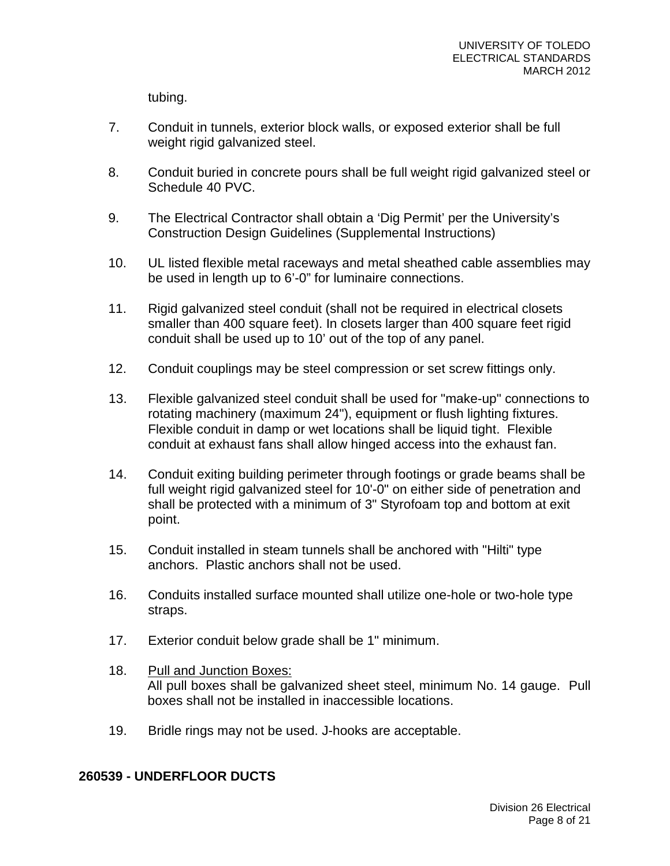tubing.

- 7. Conduit in tunnels, exterior block walls, or exposed exterior shall be full weight rigid galvanized steel.
- 8. Conduit buried in concrete pours shall be full weight rigid galvanized steel or Schedule 40 PVC.
- 9. The Electrical Contractor shall obtain a 'Dig Permit' per the University's Construction Design Guidelines (Supplemental Instructions)
- 10. UL listed flexible metal raceways and metal sheathed cable assemblies may be used in length up to 6'-0" for luminaire connections.
- 11. Rigid galvanized steel conduit (shall not be required in electrical closets smaller than 400 square feet). In closets larger than 400 square feet rigid conduit shall be used up to 10' out of the top of any panel.
- 12. Conduit couplings may be steel compression or set screw fittings only.
- 13. Flexible galvanized steel conduit shall be used for "make-up" connections to rotating machinery (maximum 24"), equipment or flush lighting fixtures. Flexible conduit in damp or wet locations shall be liquid tight. Flexible conduit at exhaust fans shall allow hinged access into the exhaust fan.
- 14. Conduit exiting building perimeter through footings or grade beams shall be full weight rigid galvanized steel for 10'-0" on either side of penetration and shall be protected with a minimum of 3" Styrofoam top and bottom at exit point.
- 15. Conduit installed in steam tunnels shall be anchored with "Hilti" type anchors. Plastic anchors shall not be used.
- 16. Conduits installed surface mounted shall utilize one-hole or two-hole type straps.
- 17. Exterior conduit below grade shall be 1" minimum.
- 18. Pull and Junction Boxes: All pull boxes shall be galvanized sheet steel, minimum No. 14 gauge. Pull boxes shall not be installed in inaccessible locations.
- 19. Bridle rings may not be used. J-hooks are acceptable.

# **260539 - UNDERFLOOR DUCTS**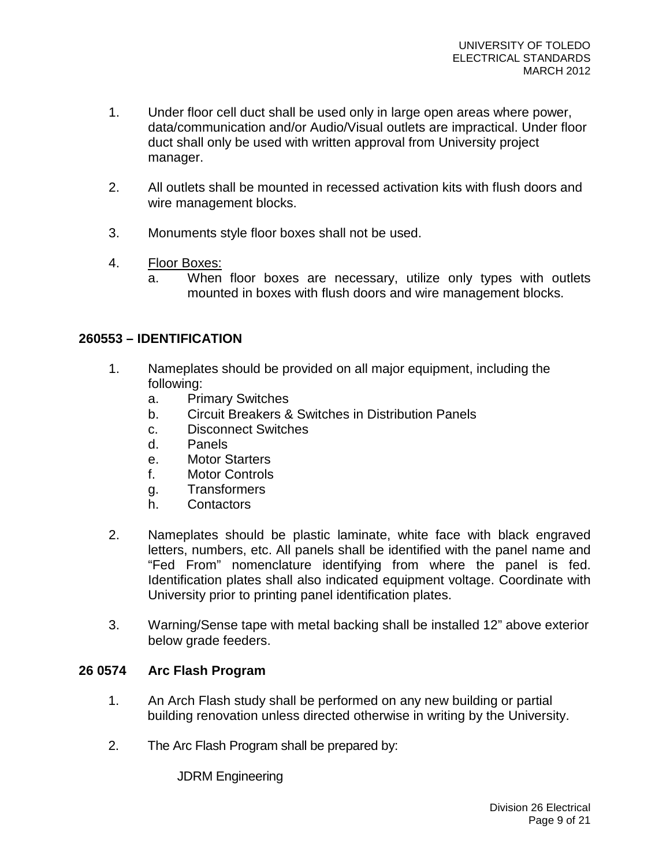- 1. Under floor cell duct shall be used only in large open areas where power, data/communication and/or Audio/Visual outlets are impractical. Under floor duct shall only be used with written approval from University project manager.
- 2. All outlets shall be mounted in recessed activation kits with flush doors and wire management blocks.
- 3. Monuments style floor boxes shall not be used.
- 4. Floor Boxes:
	- a. When floor boxes are necessary, utilize only types with outlets mounted in boxes with flush doors and wire management blocks.

# **260553 – IDENTIFICATION**

- 1. Nameplates should be provided on all major equipment, including the following:
	- a. Primary Switches
	- b. Circuit Breakers & Switches in Distribution Panels
	- c. Disconnect Switches
	- d. Panels
	- e. Motor Starters
	- f. Motor Controls
	- g. Transformers
	- h. Contactors
- 2. Nameplates should be plastic laminate, white face with black engraved letters, numbers, etc. All panels shall be identified with the panel name and "Fed From" nomenclature identifying from where the panel is fed. Identification plates shall also indicated equipment voltage. Coordinate with University prior to printing panel identification plates.
- 3. Warning/Sense tape with metal backing shall be installed 12" above exterior below grade feeders.

### **26 0574 Arc Flash Program**

- 1. An Arch Flash study shall be performed on any new building or partial building renovation unless directed otherwise in writing by the University.
- 2. The Arc Flash Program shall be prepared by:

JDRM Engineering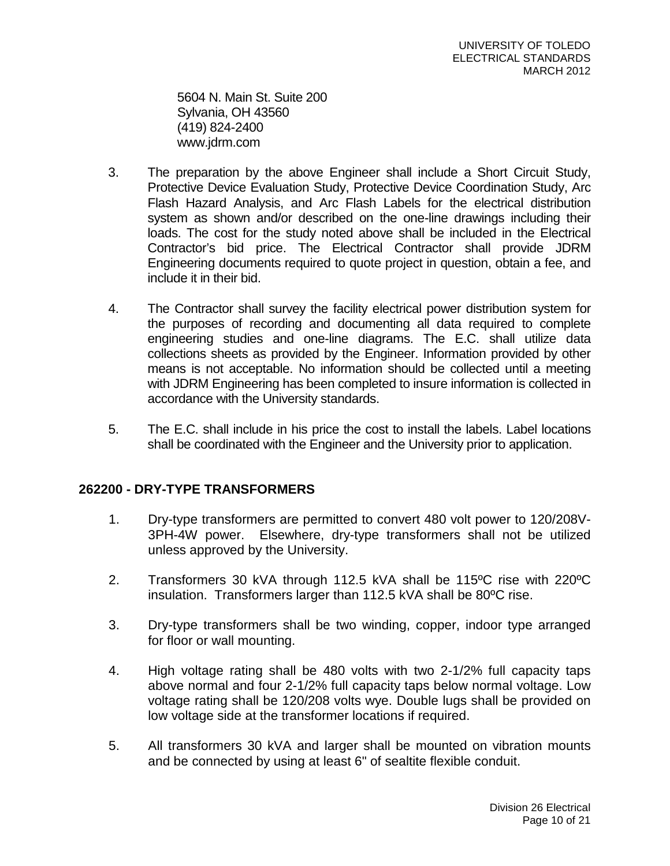5604 N. Main St. Suite 200 Sylvania, OH 43560 (419) 824-2400 www.jdrm.com

- 3. The preparation by the above Engineer shall include a Short Circuit Study, Protective Device Evaluation Study, Protective Device Coordination Study, Arc Flash Hazard Analysis, and Arc Flash Labels for the electrical distribution system as shown and/or described on the one-line drawings including their loads. The cost for the study noted above shall be included in the Electrical Contractor's bid price. The Electrical Contractor shall provide JDRM Engineering documents required to quote project in question, obtain a fee, and include it in their bid.
- 4. The Contractor shall survey the facility electrical power distribution system for the purposes of recording and documenting all data required to complete engineering studies and one-line diagrams. The E.C. shall utilize data collections sheets as provided by the Engineer. Information provided by other means is not acceptable. No information should be collected until a meeting with JDRM Engineering has been completed to insure information is collected in accordance with the University standards.
- 5. The E.C. shall include in his price the cost to install the labels. Label locations shall be coordinated with the Engineer and the University prior to application.

# **262200 - DRY-TYPE TRANSFORMERS**

- 1. Dry-type transformers are permitted to convert 480 volt power to 120/208V-3PH-4W power. Elsewhere, dry-type transformers shall not be utilized unless approved by the University.
- 2. Transformers 30 kVA through 112.5 kVA shall be 115ºC rise with 220ºC insulation. Transformers larger than 112.5 kVA shall be 80ºC rise.
- 3. Dry-type transformers shall be two winding, copper, indoor type arranged for floor or wall mounting.
- 4. High voltage rating shall be 480 volts with two 2-1/2% full capacity taps above normal and four 2-1/2% full capacity taps below normal voltage. Low voltage rating shall be 120/208 volts wye. Double lugs shall be provided on low voltage side at the transformer locations if required.
- 5. All transformers 30 kVA and larger shall be mounted on vibration mounts and be connected by using at least 6" of sealtite flexible conduit.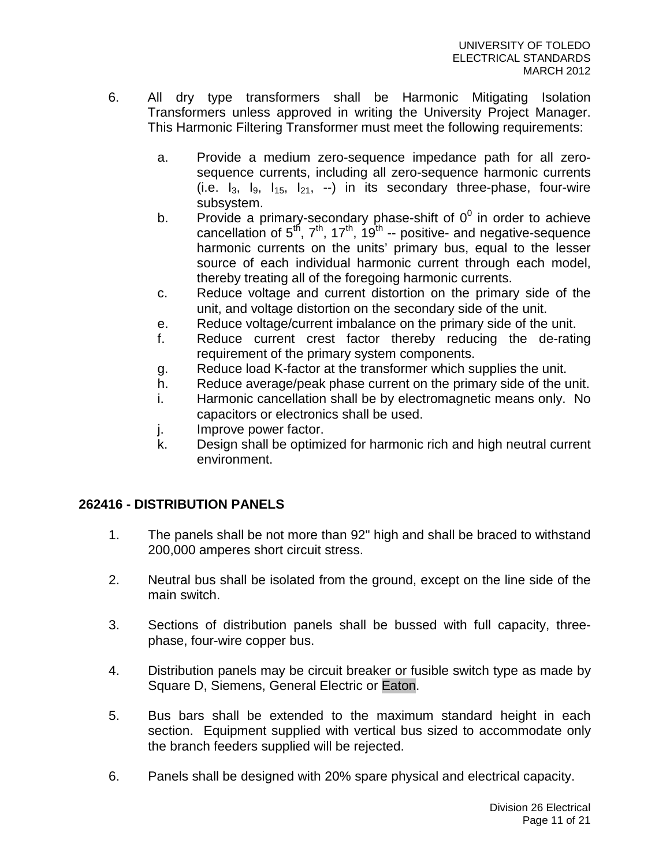- 6. All dry type transformers shall be Harmonic Mitigating Isolation Transformers unless approved in writing the University Project Manager. This Harmonic Filtering Transformer must meet the following requirements:
	- a. Provide a medium zero-sequence impedance path for all zerosequence currents, including all zero-sequence harmonic currents (i.e.  $I_3$ ,  $I_9$ ,  $I_{15}$ ,  $I_{21}$ ,  $I_{15}$ ) in its secondary three-phase, four-wire subsystem.
	- b. Provide a primary-secondary phase-shift of  $0^0$  in order to achieve cancellation of  $5^{th}$ ,  $7^{th}$ ,  $17^{th}$ ,  $19^{th}$  -- positive- and negative-sequence harmonic currents on the units' primary bus, equal to the lesser source of each individual harmonic current through each model, thereby treating all of the foregoing harmonic currents.
	- c. Reduce voltage and current distortion on the primary side of the unit, and voltage distortion on the secondary side of the unit.
	- e. Reduce voltage/current imbalance on the primary side of the unit.
	- f. Reduce current crest factor thereby reducing the de-rating requirement of the primary system components.
	- g. Reduce load K-factor at the transformer which supplies the unit.
	- h. Reduce average/peak phase current on the primary side of the unit.
	- i. Harmonic cancellation shall be by electromagnetic means only. No capacitors or electronics shall be used.
	- j. Improve power factor.
	- k. Design shall be optimized for harmonic rich and high neutral current environment.

# **262416 - DISTRIBUTION PANELS**

- 1. The panels shall be not more than 92" high and shall be braced to withstand 200,000 amperes short circuit stress.
- 2. Neutral bus shall be isolated from the ground, except on the line side of the main switch.
- 3. Sections of distribution panels shall be bussed with full capacity, threephase, four-wire copper bus.
- 4. Distribution panels may be circuit breaker or fusible switch type as made by Square D, Siemens, General Electric or Eaton.
- 5. Bus bars shall be extended to the maximum standard height in each section. Equipment supplied with vertical bus sized to accommodate only the branch feeders supplied will be rejected.
- 6. Panels shall be designed with 20% spare physical and electrical capacity.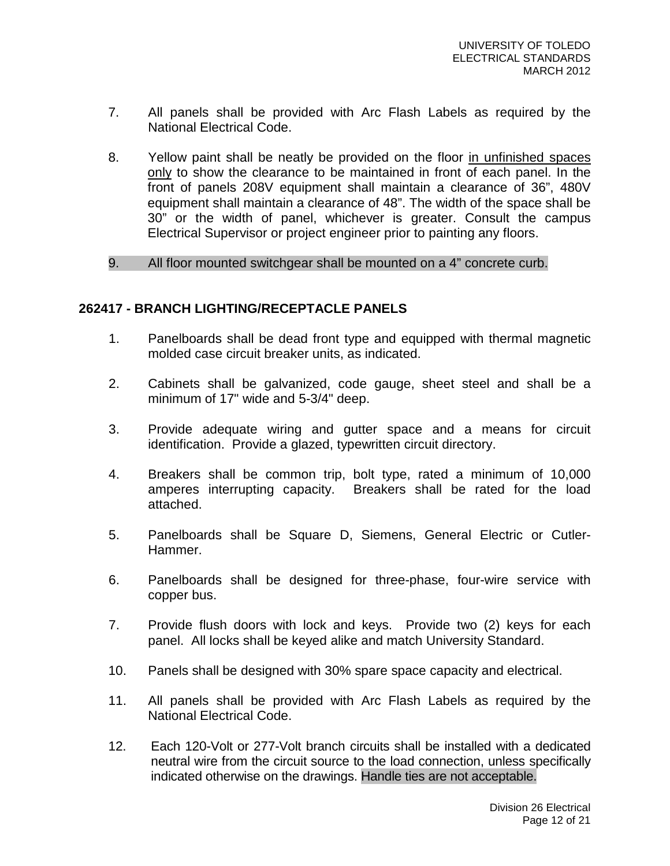- 7. All panels shall be provided with Arc Flash Labels as required by the National Electrical Code.
- 8. Yellow paint shall be neatly be provided on the floor in unfinished spaces only to show the clearance to be maintained in front of each panel. In the front of panels 208V equipment shall maintain a clearance of 36", 480V equipment shall maintain a clearance of 48". The width of the space shall be 30" or the width of panel, whichever is greater. Consult the campus Electrical Supervisor or project engineer prior to painting any floors.
- 9. All floor mounted switchgear shall be mounted on a 4" concrete curb.

# **262417 - BRANCH LIGHTING/RECEPTACLE PANELS**

- 1. Panelboards shall be dead front type and equipped with thermal magnetic molded case circuit breaker units, as indicated.
- 2. Cabinets shall be galvanized, code gauge, sheet steel and shall be a minimum of 17" wide and 5-3/4" deep.
- 3. Provide adequate wiring and gutter space and a means for circuit identification. Provide a glazed, typewritten circuit directory.
- 4. Breakers shall be common trip, bolt type, rated a minimum of 10,000 amperes interrupting capacity. Breakers shall be rated for the load attached.
- 5. Panelboards shall be Square D, Siemens, General Electric or Cutler-Hammer.
- 6. Panelboards shall be designed for three-phase, four-wire service with copper bus.
- 7. Provide flush doors with lock and keys. Provide two (2) keys for each panel. All locks shall be keyed alike and match University Standard.
- 10. Panels shall be designed with 30% spare space capacity and electrical.
- 11. All panels shall be provided with Arc Flash Labels as required by the National Electrical Code.
- 12. Each 120-Volt or 277-Volt branch circuits shall be installed with a dedicated neutral wire from the circuit source to the load connection, unless specifically indicated otherwise on the drawings. Handle ties are not acceptable.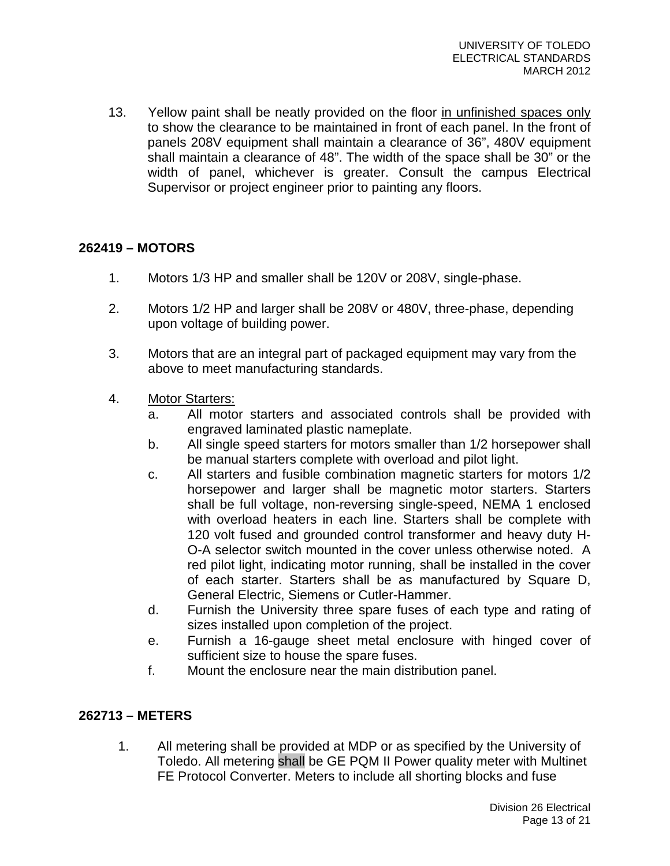13. Yellow paint shall be neatly provided on the floor in unfinished spaces only to show the clearance to be maintained in front of each panel. In the front of panels 208V equipment shall maintain a clearance of 36", 480V equipment shall maintain a clearance of 48". The width of the space shall be 30" or the width of panel, whichever is greater. Consult the campus Electrical Supervisor or project engineer prior to painting any floors.

# **262419 – MOTORS**

- 1. Motors 1/3 HP and smaller shall be 120V or 208V, single-phase.
- 2. Motors 1/2 HP and larger shall be 208V or 480V, three-phase, depending upon voltage of building power.
- 3. Motors that are an integral part of packaged equipment may vary from the above to meet manufacturing standards.
- 4. Motor Starters:
	- a. All motor starters and associated controls shall be provided with engraved laminated plastic nameplate.
	- b. All single speed starters for motors smaller than 1/2 horsepower shall be manual starters complete with overload and pilot light.
	- c. All starters and fusible combination magnetic starters for motors 1/2 horsepower and larger shall be magnetic motor starters. Starters shall be full voltage, non-reversing single-speed, NEMA 1 enclosed with overload heaters in each line. Starters shall be complete with 120 volt fused and grounded control transformer and heavy duty H-O-A selector switch mounted in the cover unless otherwise noted. A red pilot light, indicating motor running, shall be installed in the cover of each starter. Starters shall be as manufactured by Square D, General Electric, Siemens or Cutler-Hammer.
	- d. Furnish the University three spare fuses of each type and rating of sizes installed upon completion of the project.
	- e. Furnish a 16-gauge sheet metal enclosure with hinged cover of sufficient size to house the spare fuses.
	- f. Mount the enclosure near the main distribution panel.

### **262713 – METERS**

1. All metering shall be provided at MDP or as specified by the University of Toledo. All metering shall be GE PQM II Power quality meter with Multinet FE Protocol Converter. Meters to include all shorting blocks and fuse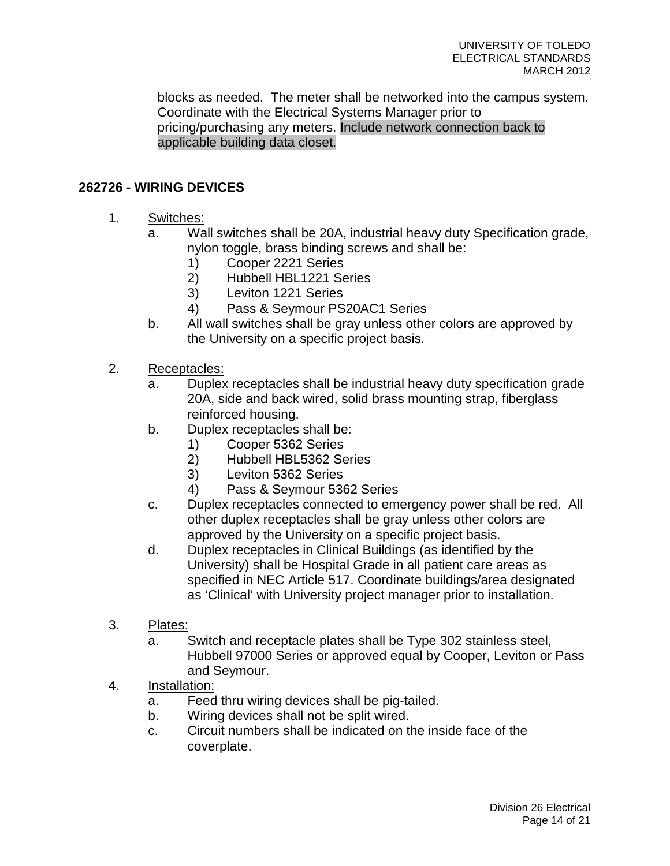blocks as needed. The meter shall be networked into the campus system. Coordinate with the Electrical Systems Manager prior to pricing/purchasing any meters. Include network connection back to applicable building data closet.

# **262726 - WIRING DEVICES**

- 1. Switches:
	- a. Wall switches shall be 20A, industrial heavy duty Specification grade, nylon toggle, brass binding screws and shall be:
		- 1) Cooper 2221 Series
		- 2) Hubbell HBL1221 Series
		- 3) Leviton 1221 Series
		- 4) Pass & Seymour PS20AC1 Series
	- b. All wall switches shall be gray unless other colors are approved by the University on a specific project basis.
- 2. Receptacles:
	- a. Duplex receptacles shall be industrial heavy duty specification grade 20A, side and back wired, solid brass mounting strap, fiberglass reinforced housing.
	- b. Duplex receptacles shall be:
		- 1) Cooper 5362 Series
		- 2) Hubbell HBL5362 Series
		- 3) Leviton 5362 Series
		- 4) Pass & Seymour 5362 Series
	- c. Duplex receptacles connected to emergency power shall be red. All other duplex receptacles shall be gray unless other colors are approved by the University on a specific project basis.
	- d. Duplex receptacles in Clinical Buildings (as identified by the University) shall be Hospital Grade in all patient care areas as specified in NEC Article 517. Coordinate buildings/area designated as 'Clinical' with University project manager prior to installation.
- 3. Plates:
	- a. Switch and receptacle plates shall be Type 302 stainless steel, Hubbell 97000 Series or approved equal by Cooper, Leviton or Pass and Seymour.
- 4. Installation:
	- a. Feed thru wiring devices shall be pig-tailed.
	- b. Wiring devices shall not be split wired.
	- c. Circuit numbers shall be indicated on the inside face of the coverplate.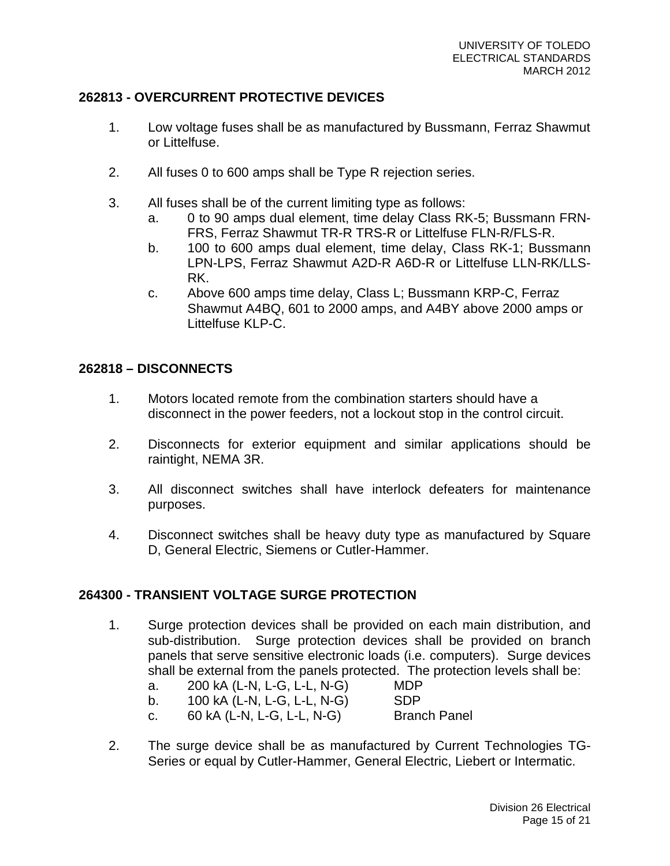# **262813 - OVERCURRENT PROTECTIVE DEVICES**

- 1. Low voltage fuses shall be as manufactured by Bussmann, Ferraz Shawmut or Littelfuse.
- 2. All fuses 0 to 600 amps shall be Type R rejection series.
- 3. All fuses shall be of the current limiting type as follows:
	- a. 0 to 90 amps dual element, time delay Class RK-5; Bussmann FRN-FRS, Ferraz Shawmut TR-R TRS-R or Littelfuse FLN-R/FLS-R.
	- b. 100 to 600 amps dual element, time delay, Class RK-1; Bussmann LPN-LPS, Ferraz Shawmut A2D-R A6D-R or Littelfuse LLN-RK/LLS-RK.
	- c. Above 600 amps time delay, Class L; Bussmann KRP-C, Ferraz Shawmut A4BQ, 601 to 2000 amps, and A4BY above 2000 amps or Littelfuse KLP-C.

### **262818 – DISCONNECTS**

- 1. Motors located remote from the combination starters should have a disconnect in the power feeders, not a lockout stop in the control circuit.
- 2. Disconnects for exterior equipment and similar applications should be raintight, NEMA 3R.
- 3. All disconnect switches shall have interlock defeaters for maintenance purposes.
- 4. Disconnect switches shall be heavy duty type as manufactured by Square D, General Electric, Siemens or Cutler-Hammer.

### **264300 - TRANSIENT VOLTAGE SURGE PROTECTION**

- 1. Surge protection devices shall be provided on each main distribution, and sub-distribution. Surge protection devices shall be provided on branch panels that serve sensitive electronic loads (i.e. computers). Surge devices shall be external from the panels protected. The protection levels shall be:
	- a. 200 kA (L-N, L-G, L-L, N-G) MDP
		-
	- b. 100 kA (L-N, L-G, L-L, N-G) SDP
	- c. 60 kA (L-N, L-G, L-L, N-G) Branch Panel
- 2. The surge device shall be as manufactured by Current Technologies TG-Series or equal by Cutler-Hammer, General Electric, Liebert or Intermatic.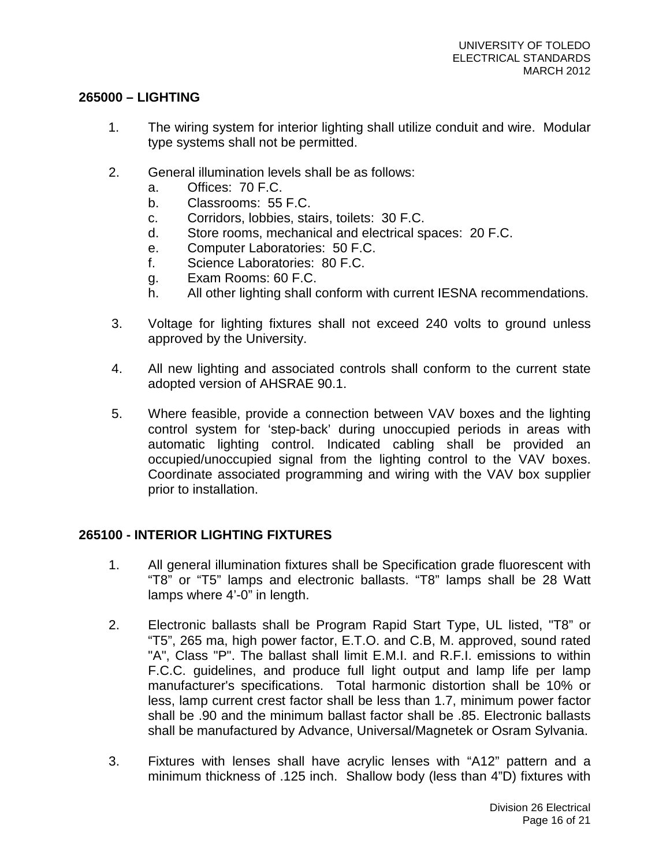### **265000 – LIGHTING**

- 1. The wiring system for interior lighting shall utilize conduit and wire. Modular type systems shall not be permitted.
- 2. General illumination levels shall be as follows:
	- a. Offices: 70 F.C.
	- b. Classrooms: 55 F.C.
	- c. Corridors, lobbies, stairs, toilets: 30 F.C.
	- d. Store rooms, mechanical and electrical spaces: 20 F.C.
	- e. Computer Laboratories: 50 F.C.
	- f. Science Laboratories: 80 F.C.
	- g. Exam Rooms: 60 F.C.
	- h. All other lighting shall conform with current IESNA recommendations.
- 3. Voltage for lighting fixtures shall not exceed 240 volts to ground unless approved by the University.
- 4. All new lighting and associated controls shall conform to the current state adopted version of AHSRAE 90.1.
- 5. Where feasible, provide a connection between VAV boxes and the lighting control system for 'step-back' during unoccupied periods in areas with automatic lighting control. Indicated cabling shall be provided an occupied/unoccupied signal from the lighting control to the VAV boxes. Coordinate associated programming and wiring with the VAV box supplier prior to installation.

# **265100 - INTERIOR LIGHTING FIXTURES**

- 1. All general illumination fixtures shall be Specification grade fluorescent with "T8" or "T5" lamps and electronic ballasts. "T8" lamps shall be 28 Watt lamps where 4'-0" in length.
- 2. Electronic ballasts shall be Program Rapid Start Type, UL listed, "T8" or "T5", 265 ma, high power factor, E.T.O. and C.B, M. approved, sound rated "A", Class "P". The ballast shall limit E.M.I. and R.F.I. emissions to within F.C.C. guidelines, and produce full light output and lamp life per lamp manufacturer's specifications. Total harmonic distortion shall be 10% or less, lamp current crest factor shall be less than 1.7, minimum power factor shall be .90 and the minimum ballast factor shall be .85. Electronic ballasts shall be manufactured by Advance, Universal/Magnetek or Osram Sylvania.
- 3. Fixtures with lenses shall have acrylic lenses with "A12" pattern and a minimum thickness of .125 inch. Shallow body (less than 4"D) fixtures with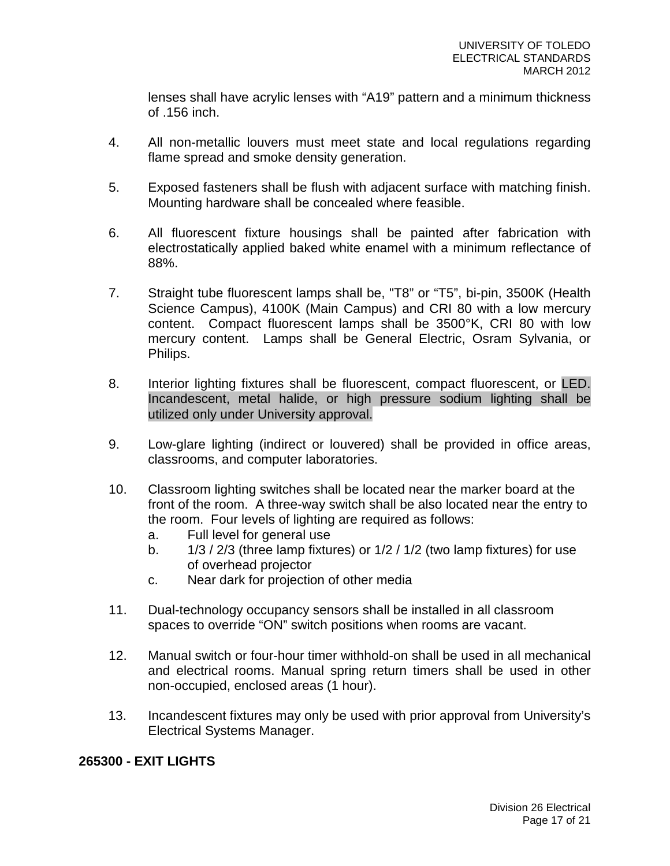lenses shall have acrylic lenses with "A19" pattern and a minimum thickness of .156 inch.

- 4. All non-metallic louvers must meet state and local regulations regarding flame spread and smoke density generation.
- 5. Exposed fasteners shall be flush with adjacent surface with matching finish. Mounting hardware shall be concealed where feasible.
- 6. All fluorescent fixture housings shall be painted after fabrication with electrostatically applied baked white enamel with a minimum reflectance of 88%.
- 7. Straight tube fluorescent lamps shall be, "T8" or "T5", bi-pin, 3500K (Health Science Campus), 4100K (Main Campus) and CRI 80 with a low mercury content. Compact fluorescent lamps shall be 3500°K, CRI 80 with low mercury content. Lamps shall be General Electric, Osram Sylvania, or Philips.
- 8. Interior lighting fixtures shall be fluorescent, compact fluorescent, or LED. Incandescent, metal halide, or high pressure sodium lighting shall be utilized only under University approval.
- 9. Low-glare lighting (indirect or louvered) shall be provided in office areas, classrooms, and computer laboratories.
- 10. Classroom lighting switches shall be located near the marker board at the front of the room. A three-way switch shall be also located near the entry to the room. Four levels of lighting are required as follows:
	- a. Full level for general use
	- b.  $1/3 / 2/3$  (three lamp fixtures) or  $1/2 / 1/2$  (two lamp fixtures) for use of overhead projector
	- c. Near dark for projection of other media
- 11. Dual-technology occupancy sensors shall be installed in all classroom spaces to override "ON" switch positions when rooms are vacant.
- 12. Manual switch or four-hour timer withhold-on shall be used in all mechanical and electrical rooms. Manual spring return timers shall be used in other non-occupied, enclosed areas (1 hour).
- 13. Incandescent fixtures may only be used with prior approval from University's Electrical Systems Manager.

### **265300 - EXIT LIGHTS**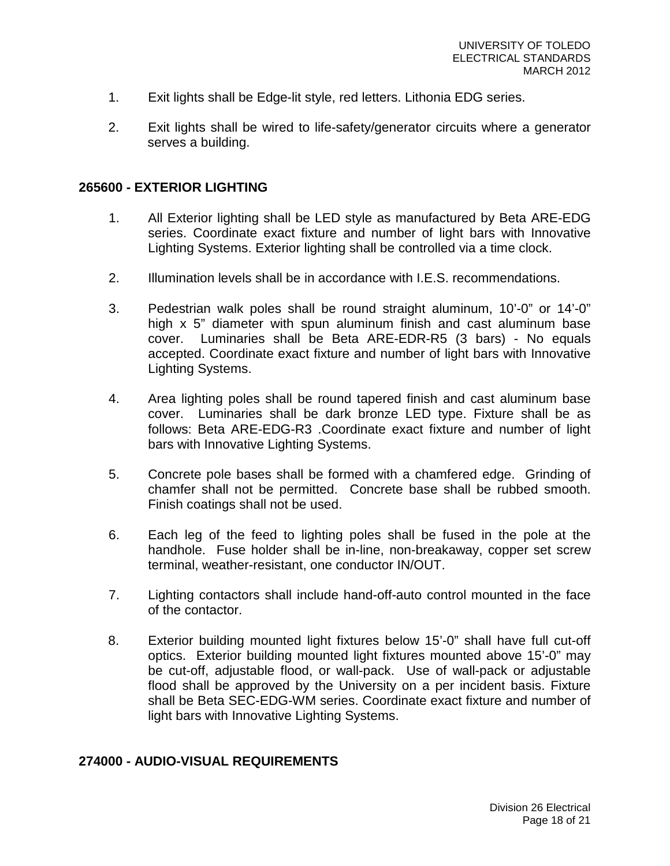- 1. Exit lights shall be Edge-lit style, red letters. Lithonia EDG series.
- 2. Exit lights shall be wired to life-safety/generator circuits where a generator serves a building.

#### **265600 - EXTERIOR LIGHTING**

- 1. All Exterior lighting shall be LED style as manufactured by Beta ARE-EDG series. Coordinate exact fixture and number of light bars with Innovative Lighting Systems. Exterior lighting shall be controlled via a time clock.
- 2. Illumination levels shall be in accordance with I.E.S. recommendations.
- 3. Pedestrian walk poles shall be round straight aluminum, 10'-0" or 14'-0" high x 5" diameter with spun aluminum finish and cast aluminum base cover. Luminaries shall be Beta ARE-EDR-R5 (3 bars) - No equals accepted. Coordinate exact fixture and number of light bars with Innovative Lighting Systems.
- 4. Area lighting poles shall be round tapered finish and cast aluminum base cover. Luminaries shall be dark bronze LED type. Fixture shall be as follows: Beta ARE-EDG-R3 .Coordinate exact fixture and number of light bars with Innovative Lighting Systems.
- 5. Concrete pole bases shall be formed with a chamfered edge. Grinding of chamfer shall not be permitted. Concrete base shall be rubbed smooth. Finish coatings shall not be used.
- 6. Each leg of the feed to lighting poles shall be fused in the pole at the handhole. Fuse holder shall be in-line, non-breakaway, copper set screw terminal, weather-resistant, one conductor IN/OUT.
- 7. Lighting contactors shall include hand-off-auto control mounted in the face of the contactor.
- 8. Exterior building mounted light fixtures below 15'-0" shall have full cut-off optics. Exterior building mounted light fixtures mounted above 15'-0" may be cut-off, adjustable flood, or wall-pack. Use of wall-pack or adjustable flood shall be approved by the University on a per incident basis. Fixture shall be Beta SEC-EDG-WM series. Coordinate exact fixture and number of light bars with Innovative Lighting Systems.

#### **274000 - AUDIO-VISUAL REQUIREMENTS**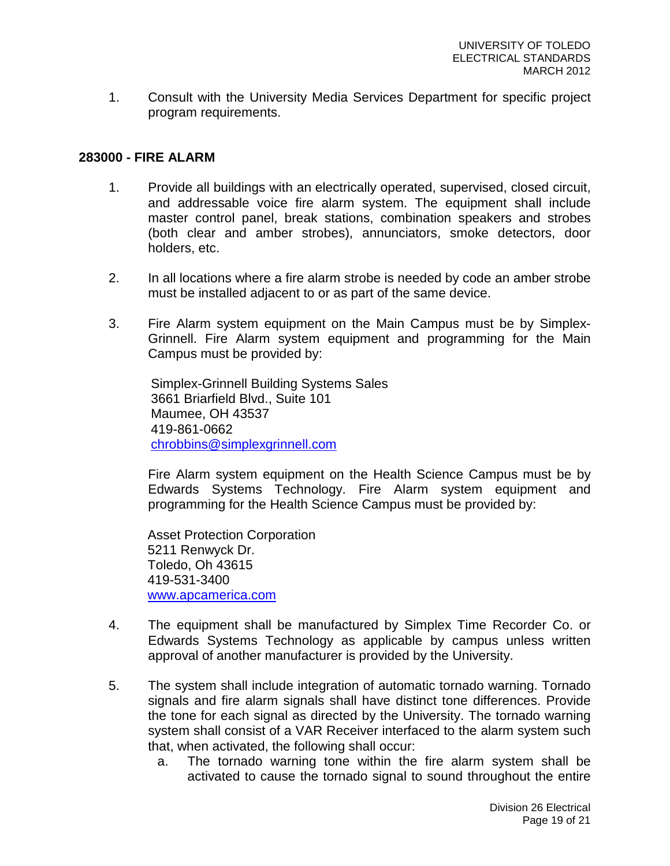1. Consult with the University Media Services Department for specific project program requirements.

#### **283000 - FIRE ALARM**

- 1. Provide all buildings with an electrically operated, supervised, closed circuit, and addressable voice fire alarm system. The equipment shall include master control panel, break stations, combination speakers and strobes (both clear and amber strobes), annunciators, smoke detectors, door holders, etc.
- 2. In all locations where a fire alarm strobe is needed by code an amber strobe must be installed adjacent to or as part of the same device.
- 3. Fire Alarm system equipment on the Main Campus must be by Simplex-Grinnell. Fire Alarm system equipment and programming for the Main Campus must be provided by:

Simplex-Grinnell Building Systems Sales 3661 Briarfield Blvd., Suite 101 Maumee, OH 43537 419-861-0662 [chrobbins@simplexgrinnell.com](mailto:chrobbins@simplexgrinnell.com)

Fire Alarm system equipment on the Health Science Campus must be by Edwards Systems Technology. Fire Alarm system equipment and programming for the Health Science Campus must be provided by:

Asset Protection Corporation 5211 Renwyck Dr. Toledo, Oh 43615 419-531-3400 [www.apcamerica.com](http://www.apcamerica.com/)

- 4. The equipment shall be manufactured by Simplex Time Recorder Co. or Edwards Systems Technology as applicable by campus unless written approval of another manufacturer is provided by the University.
- 5. The system shall include integration of automatic tornado warning. Tornado signals and fire alarm signals shall have distinct tone differences. Provide the tone for each signal as directed by the University. The tornado warning system shall consist of a VAR Receiver interfaced to the alarm system such that, when activated, the following shall occur:
	- a. The tornado warning tone within the fire alarm system shall be activated to cause the tornado signal to sound throughout the entire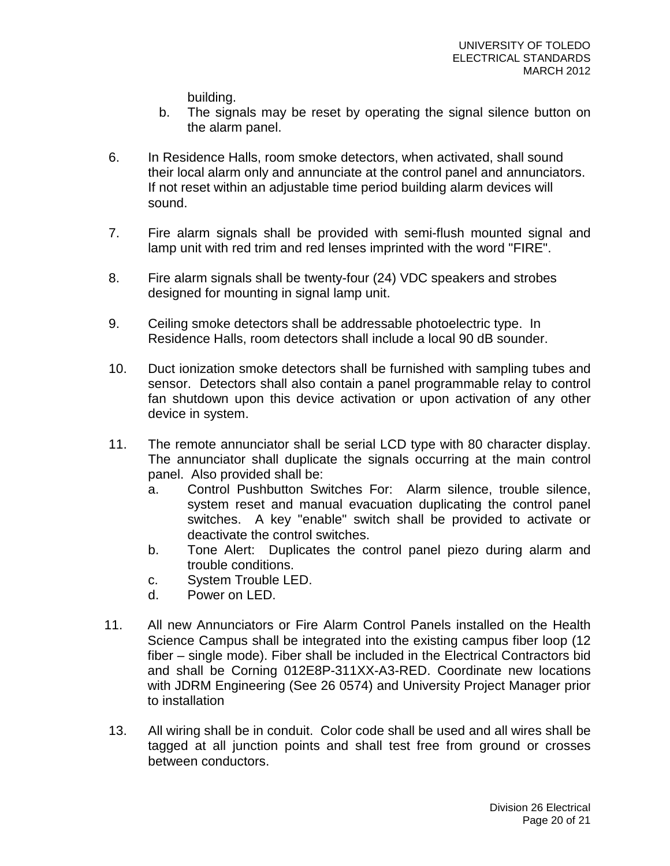building.

- b. The signals may be reset by operating the signal silence button on the alarm panel.
- 6. In Residence Halls, room smoke detectors, when activated, shall sound their local alarm only and annunciate at the control panel and annunciators. If not reset within an adjustable time period building alarm devices will sound.
- 7. Fire alarm signals shall be provided with semi-flush mounted signal and lamp unit with red trim and red lenses imprinted with the word "FIRE".
- 8. Fire alarm signals shall be twenty-four (24) VDC speakers and strobes designed for mounting in signal lamp unit.
- 9. Ceiling smoke detectors shall be addressable photoelectric type. In Residence Halls, room detectors shall include a local 90 dB sounder.
- 10. Duct ionization smoke detectors shall be furnished with sampling tubes and sensor. Detectors shall also contain a panel programmable relay to control fan shutdown upon this device activation or upon activation of any other device in system.
- 11. The remote annunciator shall be serial LCD type with 80 character display. The annunciator shall duplicate the signals occurring at the main control panel. Also provided shall be:
	- a. Control Pushbutton Switches For: Alarm silence, trouble silence, system reset and manual evacuation duplicating the control panel switches. A key "enable" switch shall be provided to activate or deactivate the control switches.
	- b. Tone Alert: Duplicates the control panel piezo during alarm and trouble conditions.
	- c. System Trouble LED.
	- d. Power on LED.
- 11. All new Annunciators or Fire Alarm Control Panels installed on the Health Science Campus shall be integrated into the existing campus fiber loop (12 fiber – single mode). Fiber shall be included in the Electrical Contractors bid and shall be Corning 012E8P-311XX-A3-RED. Coordinate new locations with JDRM Engineering (See 26 0574) and University Project Manager prior to installation
- 13. All wiring shall be in conduit. Color code shall be used and all wires shall be tagged at all junction points and shall test free from ground or crosses between conductors.